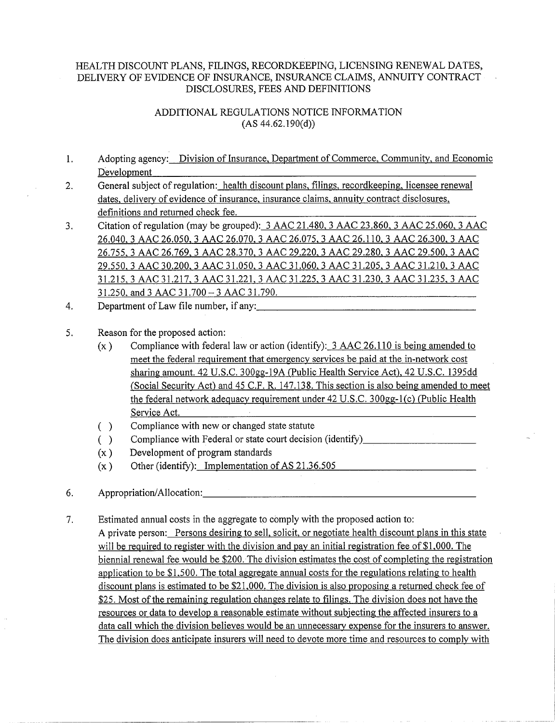## HEALTH DISCOUNT PLANS, FILINGS, RECORDKEEPING, LICENSING RENEWAL DATES, DELNERY OF EVIDENCE OF INSURANCE, INSURANCE CLAIMS, ANNUITY CONTRACT DISCLOSURES, FEES AND DEFINITIONS

## ADDITIONAL REGULATIONS NOTICE INFORMATION  $(AS 44.62.190(d))$

- 1. Adopting agency: Division of Insurance, Department of Commerce, Community, and Economic Development
- 2. General subject of regulation: health discount plans, filings, recordkeeping, licensee renewal dates, delivery of evidence of insurance, insurance claims, annuity contract disclosures, definitions and returned check fee.
- 3. Citation ofregulation (may be grouped): 3 AAC 21.480, 3 AAC 23.860, 3 AAC 25.060, 3 AAC 26.040, 3 AAC 26.050, 3 AAC 26.070, 3 AAC 26.075, 3 AAC 26.110, 3 AAC 26.300, 3 AAC 26.755, 3 AAC 26.769, 3 AAC 28.370, 3 AAC 29.220, 3 AAC 29.280, 3 AAC 29.500, 3 AAC 29.550, 3 AAC 30.200, 3 AAC 31.050, 3 AAC 31.060, 3 AAC 31.205, 3 AAC 31.210, 3 AAC 31.215, 3 AAC 31.217, 3 AAC 31.221, 3 AAC 31.225, 3 AAC 31.230, 3 AAC 31.235, 3 AAC 31.250, and 3 AAC 31.700 - 3 AAC 31.790.  $31.250$ , and  $3 \text{ AAC } 31.700 - 3 \text{ AAC } 31.790$ .<br>4. Department of Law file number, if any:
- 

## 5. Reason for the proposed action:

- (x) Compliance with federal law or action (identify): 3 AAC 26.110 is being amended to meet the federal requirement that emergency services be paid at the in-network cost sharing amount. 42 U.S.C. 300gg-19A (Public Health Service Act), 42 U.S.C. 1395dd (Social Security Act) and 45 C.F. R. 147.138. This section is also being amended to meet the federal network adequacy requirement under 42 U.S.C. 300gg-l(c) (Public Health Service Act.
- ( ) Compliance with new or changed state statute
- () Compliance with Federal or state court decision (identify)
- (x ) Development of program standards
- (x) Other (identify): Implementation of AS 21.36.505
- 6. Appropriation/Allocation:. \_\_\_\_\_\_\_\_\_\_\_\_\_\_\_\_\_\_\_\_\_\_ \_
- 7. Estimated annual costs in the aggregate to comply with the proposed action to: A private person: Persons desiring to sell, solicit, or negotiate health discount plans in this state will be required to register with the division and pay an initial registration fee of \$1,000. The biennial renewal fee would be \$200.The division estimates the cost of completing the registration application to be \$1,500. The total aggregate annual costs for the regulations relating to health discount plans is estimated to be \$21,000. The division is also proposing a returned check fee of \$25. Most of the remaining regulation changes relate to filings. The division does not have the resources or data to develop a reasonable estimate without subjecting the affected insurers to a data call which the division believes would be an unnecessary expense for the insurers to answer. The division does anticipate insurers will need to devote more time and resources to comply with